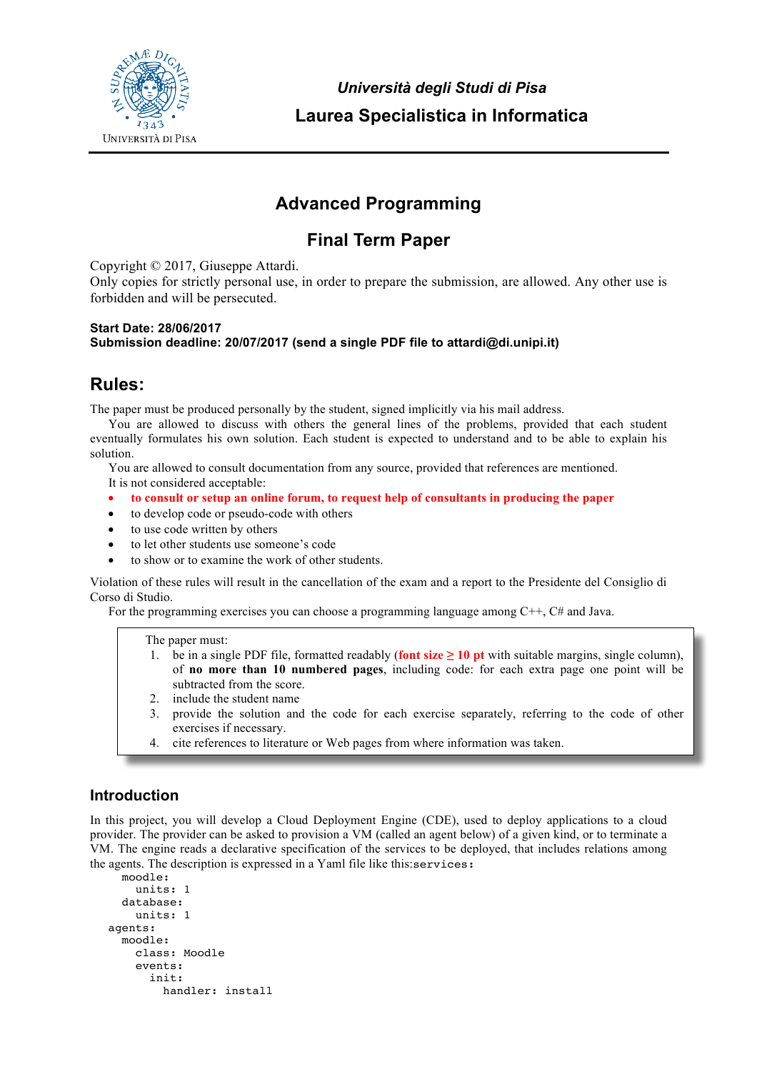

*Università degli Studi di Pisa* **Laurea Specialistica in Informatica**

# **Advanced Programming**

## **Final Term Paper**

Copyright © 2017, Giuseppe Attardi.

Only copies for strictly personal use, in order to prepare the submission, are allowed. Any other use is forbidden and will be persecuted.

#### **Start Date: 28/06/2017 Submission deadline: 20/07/2017 (send a single PDF file to attardi@di.unipi.it)**

### **Rules:**

The paper must be produced personally by the student, signed implicitly via his mail address.

You are allowed to discuss with others the general lines of the problems, provided that each student eventually formulates his own solution. Each student is expected to understand and to be able to explain his solution.

You are allowed to consult documentation from any source, provided that references are mentioned.

It is not considered acceptable:

- **to consult or setup an online forum, to request help of consultants in producing the paper**
- to develop code or pseudo-code with others
- to use code written by others
- to let other students use someone's code
- to show or to examine the work of other students.

Violation of these rules will result in the cancellation of the exam and a report to the Presidente del Consiglio di Corso di Studio.

For the programming exercises you can choose a programming language among C++, C# and Java.

The paper must:

- 1. be in a single PDF file, formatted readably (**font size**  $\geq 10$  **pt** with suitable margins, single column), of **no more than 10 numbered pages**, including code: for each extra page one point will be subtracted from the score.
- 2. include the student name
- 3. provide the solution and the code for each exercise separately, referring to the code of other exercises if necessary.
- 4. cite references to literature or Web pages from where information was taken.

### **Introduction**

In this project, you will develop a Cloud Deployment Engine (CDE), used to deploy applications to a cloud provider. The provider can be asked to provision a VM (called an agent below) of a given kind, or to terminate a VM. The engine reads a declarative specification of the services to be deployed, that includes relations among the agents. The description is expressed in a Yaml file like this:services:

```
 moodle:
     units: 1
   database:
     units: 1
agents:
  moodle:
     class: Moodle
     events:
       init:
          handler: install
```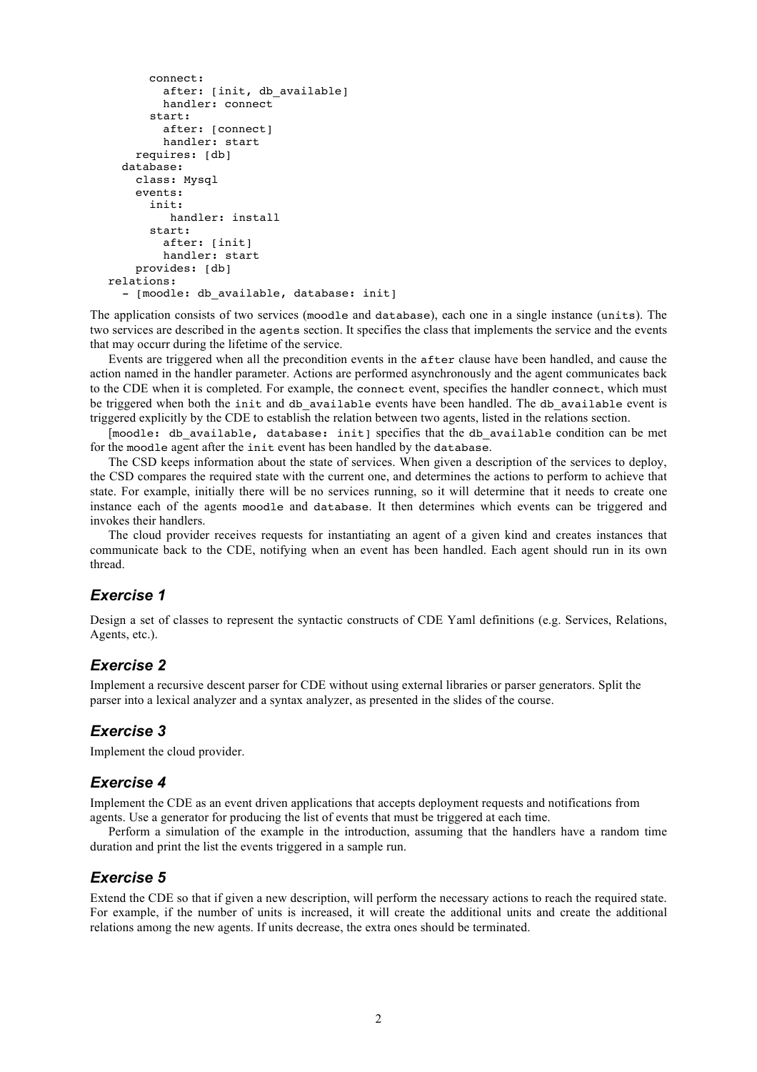```
 connect:
        after: [init, db available]
         handler: connect
       start:
         after: [connect]
         handler: start
     requires: [db]
   database:
    class: Mysql
     events:
       init:
          handler: install
       start:
         after: [init]
         handler: start
     provides: [db]
relations:
  - [moodle: db available, database: init]
```
The application consists of two services (moodle and database), each one in a single instance (units). The two services are described in the agents section. It specifies the class that implements the service and the events that may occurr during the lifetime of the service.

Events are triggered when all the precondition events in the after clause have been handled, and cause the action named in the handler parameter. Actions are performed asynchronously and the agent communicates back to the CDE when it is completed. For example, the connect event, specifies the handler connect, which must be triggered when both the init and db available events have been handled. The db available event is triggered explicitly by the CDE to establish the relation between two agents, listed in the relations section.

[moodle: db available, database: init] specifies that the db available condition can be met for the moodle agent after the init event has been handled by the database.

The CSD keeps information about the state of services. When given a description of the services to deploy, the CSD compares the required state with the current one, and determines the actions to perform to achieve that state. For example, initially there will be no services running, so it will determine that it needs to create one instance each of the agents moodle and database. It then determines which events can be triggered and invokes their handlers.

The cloud provider receives requests for instantiating an agent of a given kind and creates instances that communicate back to the CDE, notifying when an event has been handled. Each agent should run in its own thread.

### *Exercise 1*

Design a set of classes to represent the syntactic constructs of CDE Yaml definitions (e.g. Services, Relations, Agents, etc.).

#### *Exercise 2*

Implement a recursive descent parser for CDE without using external libraries or parser generators. Split the parser into a lexical analyzer and a syntax analyzer, as presented in the slides of the course.

#### *Exercise 3*

Implement the cloud provider.

#### *Exercise 4*

Implement the CDE as an event driven applications that accepts deployment requests and notifications from agents. Use a generator for producing the list of events that must be triggered at each time.

Perform a simulation of the example in the introduction, assuming that the handlers have a random time duration and print the list the events triggered in a sample run.

#### *Exercise 5*

Extend the CDE so that if given a new description, will perform the necessary actions to reach the required state. For example, if the number of units is increased, it will create the additional units and create the additional relations among the new agents. If units decrease, the extra ones should be terminated.